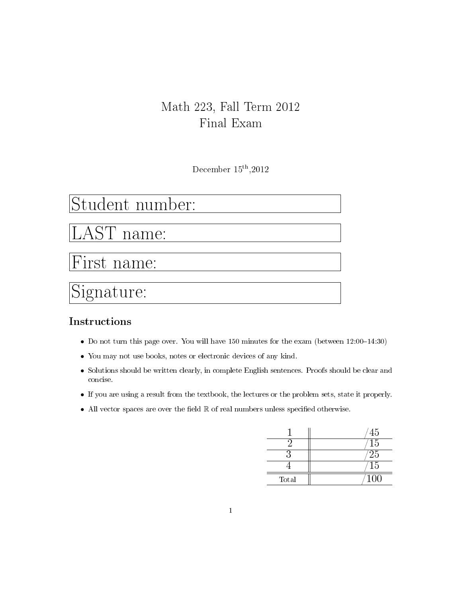## Math 223, Fall Term 2012 Final Exam

December  $15^{\text{th}}$ ,2012

# Student number:

LAST name:

First name:

Signature:

### Instructions

- Do not turn this page over. You will have 150 minutes for the exam (between  $12:00-14:30$ )
- You may not use books, notes or electronic devices of any kind.
- Solutions should be written clearly, in complete English sentences. Proofs should be clear and concise.
- If you are using a result from the textbook, the lectures or the problem sets, state it properly.
- All vector spaces are over the field  $\mathbb R$  of real numbers unless specified otherwise.

|       | 45              |
|-------|-----------------|
|       | $\overline{15}$ |
|       | 25              |
|       | 15              |
| Total | 100             |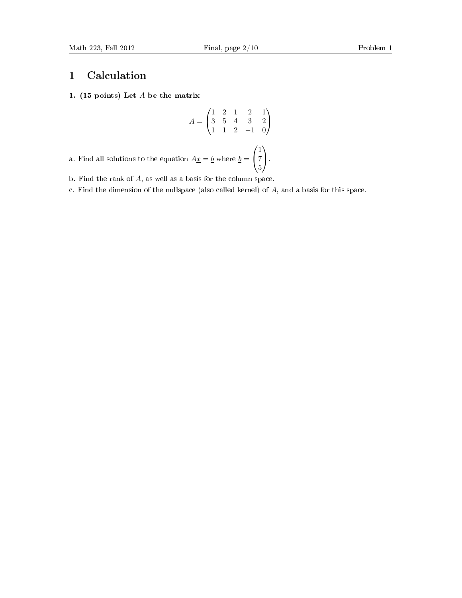### 1 Calculation

#### 1. (15 points) Let A be the matrix

$$
A = \begin{pmatrix} 1 & 2 & 1 & 2 & 1 \\ 3 & 5 & 4 & 3 & 2 \\ 1 & 1 & 2 & -1 & 0 \end{pmatrix}
$$

a. Find all solutions to the equation  $A\underline{x} = \underline{b}$  where  $\underline{b} =$  $\sqrt{ }$  $\mathcal{L}$ 1 7 5  $\setminus$  $\cdot$ 

- b. Find the rank of A, as well as a basis for the column space.
- c. Find the dimension of the nullspace (also called kernel) of A, and a basis for this space.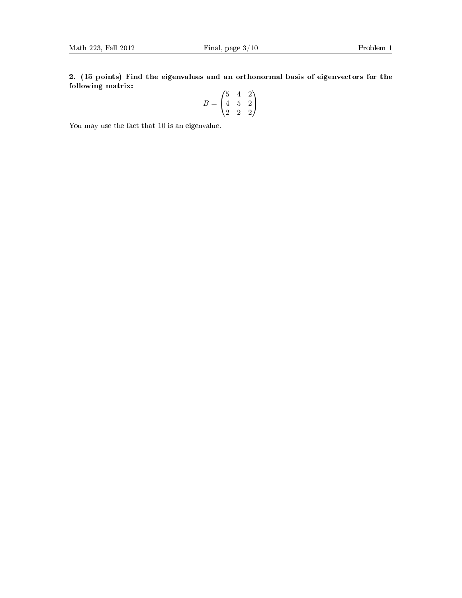2. (15 points) Find the eigenvalues and an orthonormal basis of eigenvectors for the following matrix:  $\overline{\phantom{a}}$  $\overline{6}$ 

$$
B = \begin{pmatrix} 5 & 4 & 2 \\ 4 & 5 & 2 \\ 2 & 2 & 2 \end{pmatrix}
$$

You may use the fact that 10 is an eigenvalue.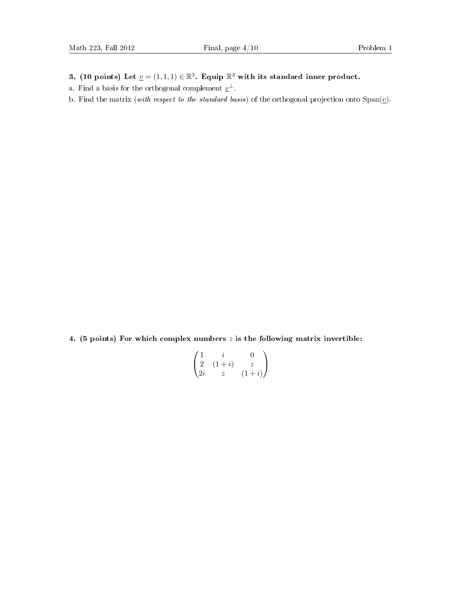- 3. (10 points) Let  $\underline{v} = (1,1,1) \in \mathbb{R}^3$ . Equip  $\mathbb{R}^3$  with its standard inner product.
- a. Find a basis for the orthogonal complement  $\underline{v}^{\perp}$ .
- b. Find the matrix (with respect to the standard basis) of the orthogonal projection onto  $Span(\underline{v})$ .

4. (5 points) For which complex numbers  $z$  is the following matrix invertible:

$$
\begin{pmatrix}\n1 & i & 0 \\
2 & (1+i) & z \\
2i & z & (1+i)\n\end{pmatrix}
$$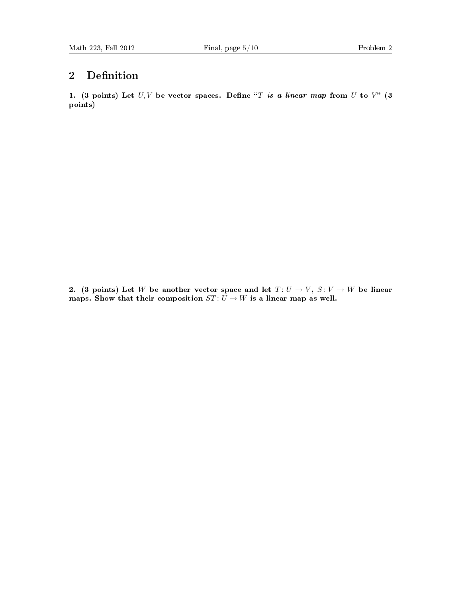### 2 Definition

1. (3 points) Let  $U, V$  be vector spaces. Define "T is a linear map from U to V" (3 points)

2. (3 points) Let W be another vector space and let  $T: U \to V$ ,  $S: V \to W$  be linear maps. Show that their composition  $ST: U \to W$  is a linear map as well.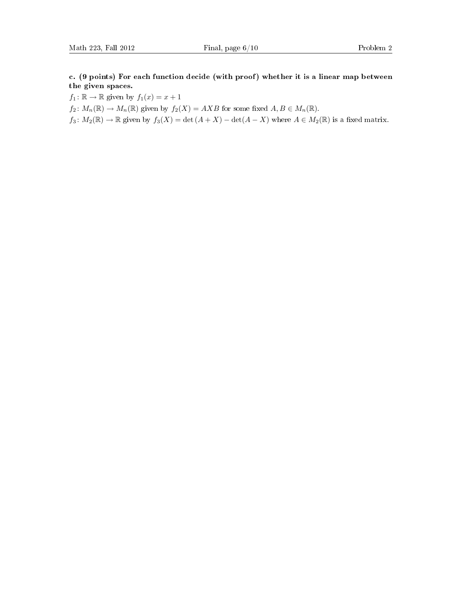c. (9 points) For each function decide (with proof) whether it is a linear map between the given spaces.

 $f_1: \mathbb{R} \to \mathbb{R}$  given by  $f_1(x) = x + 1$ 

 $f_2: M_n(\mathbb{R}) \to M_n(\mathbb{R})$  given by  $f_2(X) = AXB$  for some fixed  $A, B \in M_n(\mathbb{R})$ .

 $f_3\colon M_2(\mathbb{R})\to \mathbb{R}$  given by  $f_3(X)=\det(A+X)-\det(A-X)$  where  $A\in M_2(\mathbb{R})$  is a fixed matrix.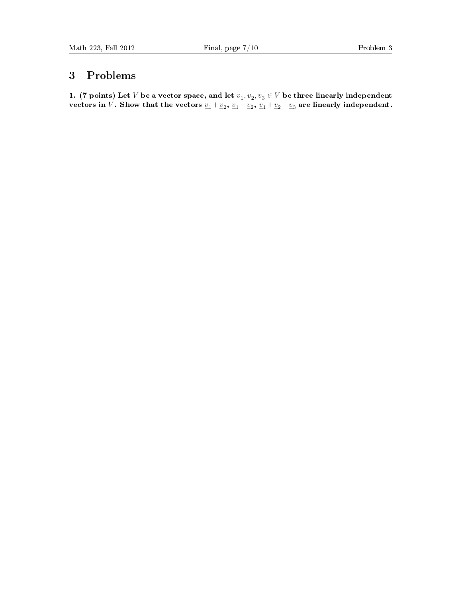### 3 Problems

1. (7 points) Let  $V$  be a vector space, and let  $\underline{v}_1, \underline{v}_2, \underline{v}_3 \in V$  be three linearly independent vectors in V. Show that the vectors  $\underline{v}_1 + \underline{v}_2$ ,  $\underline{v}_1 - \underline{v}_2$ ,  $\underline{v}_1 + \underline{v}_2 + \underline{v}_3$  are linearly independent.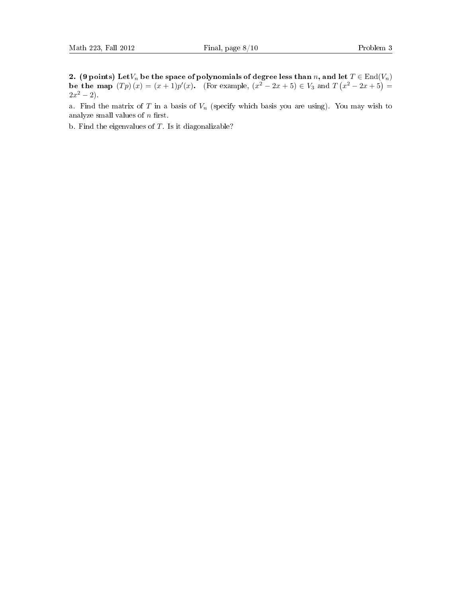2. (9 points) Let $V_n$  be the space of polynomials of degree less than n, and let  $T \in \text{End}(V_n)$ be the map  $(Tp)(x) = (x+1)p'(x)$ . (For example,  $(x^2-2x+5) \in V_3$  and  $T(x^2-2x+5) =$  $2x^2 - 2$ .

a. Find the matrix of T in a basis of  $V_n$  (specify which basis you are using). You may wish to analyze small values of  $n$  first.

b. Find the eigenvalues of  $T$ . Is it diagonalizable?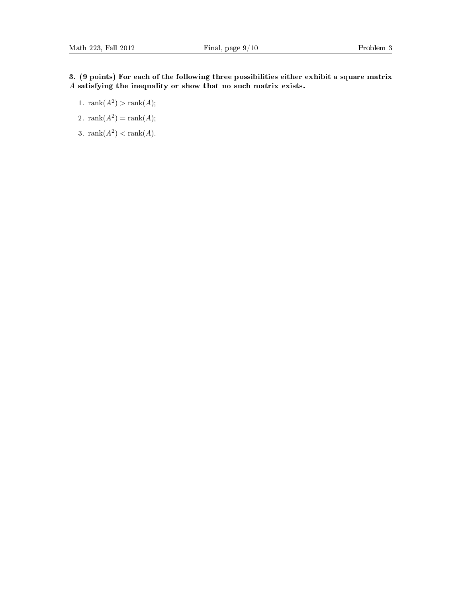#### 3. (9 points) For each of the following three possibilities either exhibit a square matrix A satisfying the inequality or show that no such matrix exists.

- 1.  $\text{rank}(A^2) > \text{rank}(A);$
- 2.  $\text{rank}(A^2) = \text{rank}(A);$
- 3. rank $(A^2)$  < rank $(A)$ .